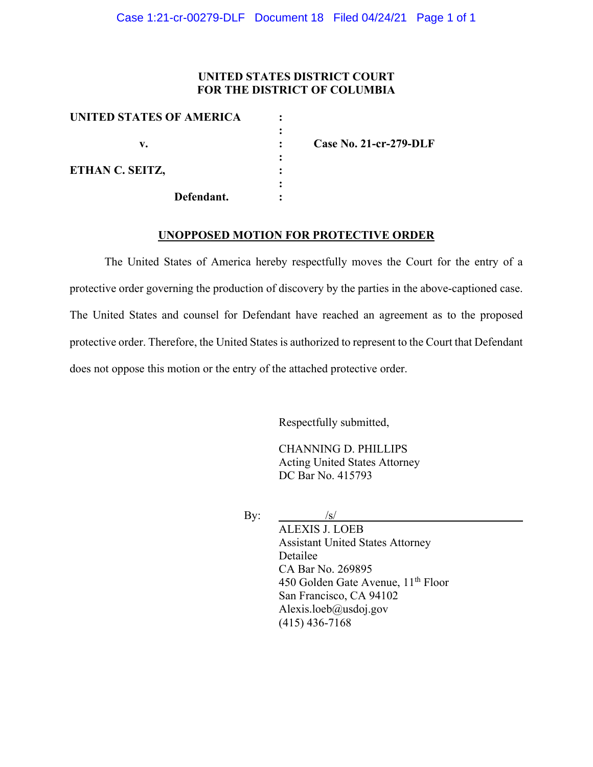### **UNITED STATES DISTRICT COURT FOR THE DISTRICT OF COLUMBIA**

| UNITED STATES OF AMERICA |                               |
|--------------------------|-------------------------------|
|                          |                               |
| v.                       | <b>Case No. 21-cr-279-DLF</b> |
|                          |                               |
| ETHAN C. SEITZ,          |                               |
|                          |                               |
| Defendant.               |                               |

#### **UNOPPOSED MOTION FOR PROTECTIVE ORDER**

The United States of America hereby respectfully moves the Court for the entry of a protective order governing the production of discovery by the parties in the above-captioned case. The United States and counsel for Defendant have reached an agreement as to the proposed protective order. Therefore, the United States is authorized to represent to the Court that Defendant does not oppose this motion or the entry of the attached protective order.

Respectfully submitted,

CHANNING D. PHILLIPS Acting United States Attorney DC Bar No. 415793

By:  $\frac{1}{s}$ 

ALEXIS J. LOEB Assistant United States Attorney Detailee CA Bar No. 269895 450 Golden Gate Avenue,  $11<sup>th</sup>$  Floor San Francisco, CA 94102 Alexis.loeb@usdoj.gov (415) 436-7168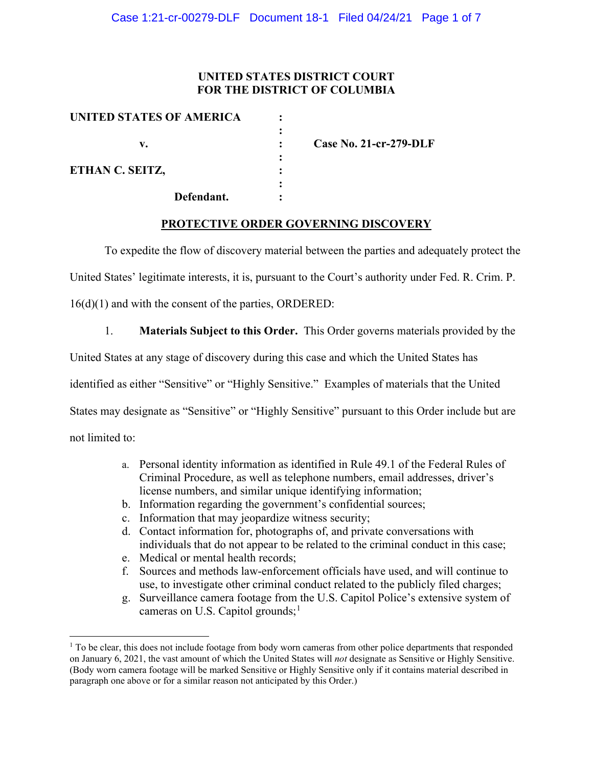### **UNITED STATES DISTRICT COURT FOR THE DISTRICT OF COLUMBIA**

| Case No. $21$ -cr- $279$ -DLF |
|-------------------------------|
|                               |
|                               |
|                               |

### **PROTECTIVE ORDER GOVERNING DISCOVERY**

To expedite the flow of discovery material between the parties and adequately protect the

United States' legitimate interests, it is, pursuant to the Court's authority under Fed. R. Crim. P.

16(d)(1) and with the consent of the parties, ORDERED:

1. **Materials Subject to this Order.** This Order governs materials provided by the

United States at any stage of discovery during this case and which the United States has

identified as either "Sensitive" or "Highly Sensitive." Examples of materials that the United

States may designate as "Sensitive" or "Highly Sensitive" pursuant to this Order include but are

not limited to:

- a. Personal identity information as identified in Rule 49.1 of the Federal Rules of Criminal Procedure, as well as telephone numbers, email addresses, driver's license numbers, and similar unique identifying information;
- b. Information regarding the government's confidential sources;
- c. Information that may jeopardize witness security;
- d. Contact information for, photographs of, and private conversations with individuals that do not appear to be related to the criminal conduct in this case;
- e. Medical or mental health records;
- f. Sources and methods law-enforcement officials have used, and will continue to use, to investigate other criminal conduct related to the publicly filed charges;
- g. Surveillance camera footage from the U.S. Capitol Police's extensive system of cameras on U.S. Capitol grounds;<sup>1</sup>

 $1$  To be clear, this does not include footage from body worn cameras from other police departments that responded on January 6, 2021, the vast amount of which the United States will *not* designate as Sensitive or Highly Sensitive. (Body worn camera footage will be marked Sensitive or Highly Sensitive only if it contains material described in paragraph one above or for a similar reason not anticipated by this Order.)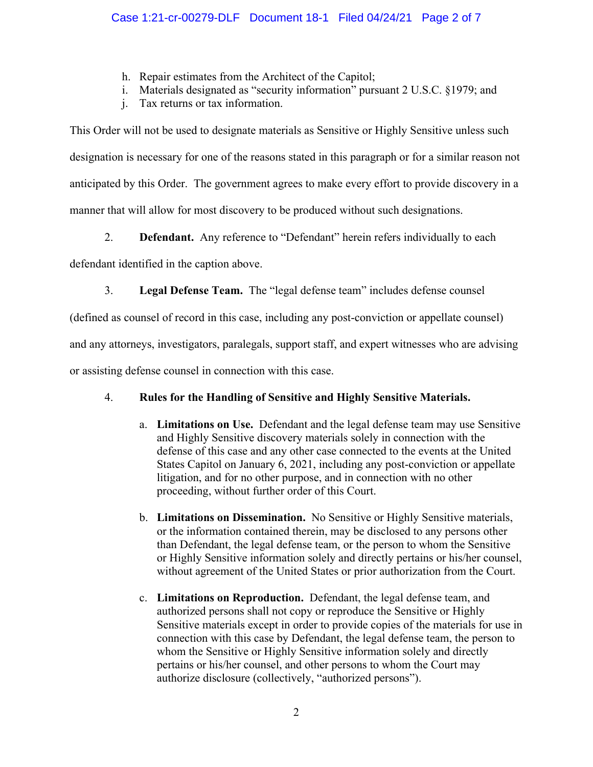- h. Repair estimates from the Architect of the Capitol;
- i. Materials designated as "security information" pursuant 2 U.S.C. §1979; and
- j. Tax returns or tax information.

This Order will not be used to designate materials as Sensitive or Highly Sensitive unless such designation is necessary for one of the reasons stated in this paragraph or for a similar reason not anticipated by this Order. The government agrees to make every effort to provide discovery in a manner that will allow for most discovery to be produced without such designations.

2. **Defendant.** Any reference to "Defendant" herein refers individually to each

defendant identified in the caption above.

3. **Legal Defense Team.** The "legal defense team" includes defense counsel

(defined as counsel of record in this case, including any post-conviction or appellate counsel)

and any attorneys, investigators, paralegals, support staff, and expert witnesses who are advising

or assisting defense counsel in connection with this case.

# 4. **Rules for the Handling of Sensitive and Highly Sensitive Materials.**

- a. **Limitations on Use.** Defendant and the legal defense team may use Sensitive and Highly Sensitive discovery materials solely in connection with the defense of this case and any other case connected to the events at the United States Capitol on January 6, 2021, including any post-conviction or appellate litigation, and for no other purpose, and in connection with no other proceeding, without further order of this Court.
- b. **Limitations on Dissemination.** No Sensitive or Highly Sensitive materials, or the information contained therein, may be disclosed to any persons other than Defendant, the legal defense team, or the person to whom the Sensitive or Highly Sensitive information solely and directly pertains or his/her counsel, without agreement of the United States or prior authorization from the Court.
- c. **Limitations on Reproduction.** Defendant, the legal defense team, and authorized persons shall not copy or reproduce the Sensitive or Highly Sensitive materials except in order to provide copies of the materials for use in connection with this case by Defendant, the legal defense team, the person to whom the Sensitive or Highly Sensitive information solely and directly pertains or his/her counsel, and other persons to whom the Court may authorize disclosure (collectively, "authorized persons").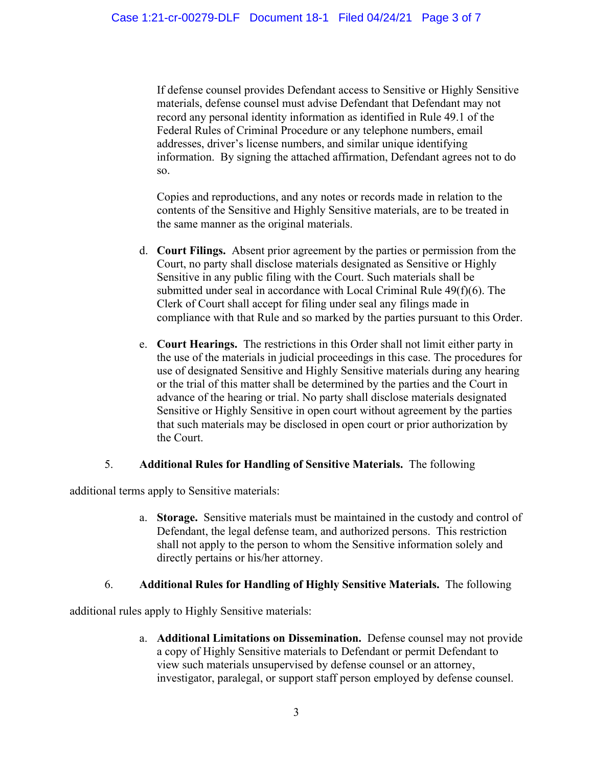If defense counsel provides Defendant access to Sensitive or Highly Sensitive materials, defense counsel must advise Defendant that Defendant may not record any personal identity information as identified in Rule 49.1 of the Federal Rules of Criminal Procedure or any telephone numbers, email addresses, driver's license numbers, and similar unique identifying information. By signing the attached affirmation, Defendant agrees not to do so.

Copies and reproductions, and any notes or records made in relation to the contents of the Sensitive and Highly Sensitive materials, are to be treated in the same manner as the original materials.

- d. **Court Filings.** Absent prior agreement by the parties or permission from the Court, no party shall disclose materials designated as Sensitive or Highly Sensitive in any public filing with the Court. Such materials shall be submitted under seal in accordance with Local Criminal Rule 49(f)(6). The Clerk of Court shall accept for filing under seal any filings made in compliance with that Rule and so marked by the parties pursuant to this Order.
- e. **Court Hearings.** The restrictions in this Order shall not limit either party in the use of the materials in judicial proceedings in this case. The procedures for use of designated Sensitive and Highly Sensitive materials during any hearing or the trial of this matter shall be determined by the parties and the Court in advance of the hearing or trial. No party shall disclose materials designated Sensitive or Highly Sensitive in open court without agreement by the parties that such materials may be disclosed in open court or prior authorization by the Court.

## 5. **Additional Rules for Handling of Sensitive Materials.** The following

additional terms apply to Sensitive materials:

a. **Storage.** Sensitive materials must be maintained in the custody and control of Defendant, the legal defense team, and authorized persons. This restriction shall not apply to the person to whom the Sensitive information solely and directly pertains or his/her attorney.

## 6. **Additional Rules for Handling of Highly Sensitive Materials.** The following

additional rules apply to Highly Sensitive materials:

a. **Additional Limitations on Dissemination.** Defense counsel may not provide a copy of Highly Sensitive materials to Defendant or permit Defendant to view such materials unsupervised by defense counsel or an attorney, investigator, paralegal, or support staff person employed by defense counsel.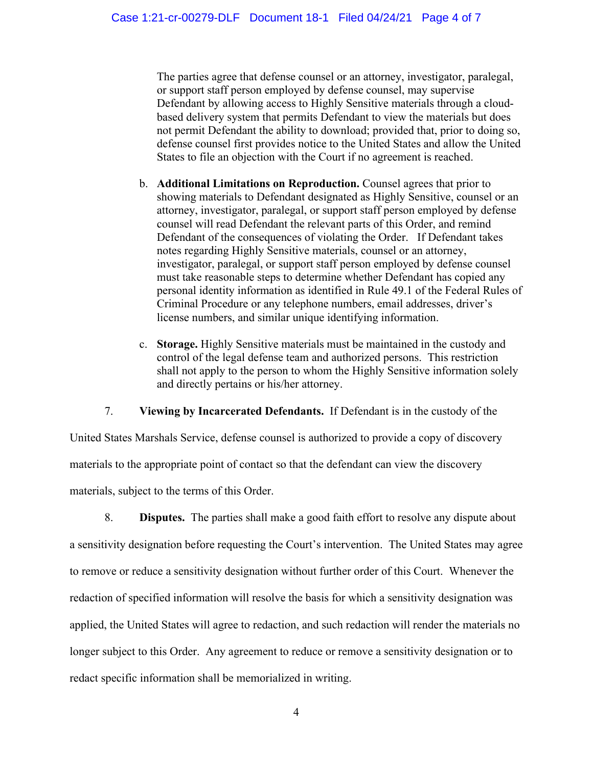The parties agree that defense counsel or an attorney, investigator, paralegal, or support staff person employed by defense counsel, may supervise Defendant by allowing access to Highly Sensitive materials through a cloudbased delivery system that permits Defendant to view the materials but does not permit Defendant the ability to download; provided that, prior to doing so, defense counsel first provides notice to the United States and allow the United States to file an objection with the Court if no agreement is reached.

- b. **Additional Limitations on Reproduction.** Counsel agrees that prior to showing materials to Defendant designated as Highly Sensitive, counsel or an attorney, investigator, paralegal, or support staff person employed by defense counsel will read Defendant the relevant parts of this Order, and remind Defendant of the consequences of violating the Order. If Defendant takes notes regarding Highly Sensitive materials, counsel or an attorney, investigator, paralegal, or support staff person employed by defense counsel must take reasonable steps to determine whether Defendant has copied any personal identity information as identified in Rule 49.1 of the Federal Rules of Criminal Procedure or any telephone numbers, email addresses, driver's license numbers, and similar unique identifying information.
- c. **Storage.** Highly Sensitive materials must be maintained in the custody and control of the legal defense team and authorized persons. This restriction shall not apply to the person to whom the Highly Sensitive information solely and directly pertains or his/her attorney.

7. **Viewing by Incarcerated Defendants.** If Defendant is in the custody of the

United States Marshals Service, defense counsel is authorized to provide a copy of discovery materials to the appropriate point of contact so that the defendant can view the discovery materials, subject to the terms of this Order.

8. **Disputes.** The parties shall make a good faith effort to resolve any dispute about a sensitivity designation before requesting the Court's intervention. The United States may agree to remove or reduce a sensitivity designation without further order of this Court. Whenever the redaction of specified information will resolve the basis for which a sensitivity designation was applied, the United States will agree to redaction, and such redaction will render the materials no longer subject to this Order. Any agreement to reduce or remove a sensitivity designation or to redact specific information shall be memorialized in writing.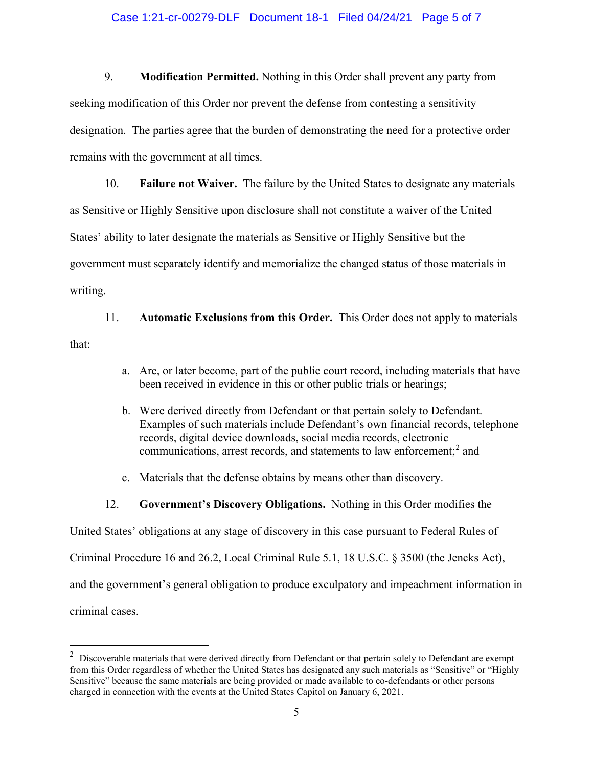#### Case 1:21-cr-00279-DLF Document 18-1 Filed 04/24/21 Page 5 of 7

9. **Modification Permitted.** Nothing in this Order shall prevent any party from seeking modification of this Order nor prevent the defense from contesting a sensitivity designation. The parties agree that the burden of demonstrating the need for a protective order remains with the government at all times.

10. **Failure not Waiver.** The failure by the United States to designate any materials as Sensitive or Highly Sensitive upon disclosure shall not constitute a waiver of the United States' ability to later designate the materials as Sensitive or Highly Sensitive but the government must separately identify and memorialize the changed status of those materials in writing.

11. **Automatic Exclusions from this Order.** This Order does not apply to materials that:

- a. Are, or later become, part of the public court record, including materials that have been received in evidence in this or other public trials or hearings;
- b. Were derived directly from Defendant or that pertain solely to Defendant. Examples of such materials include Defendant's own financial records, telephone records, digital device downloads, social media records, electronic communications, arrest records, and statements to law enforcement; <sup>2</sup> and
- c. Materials that the defense obtains by means other than discovery.
- 12. **Government's Discovery Obligations.** Nothing in this Order modifies the

United States' obligations at any stage of discovery in this case pursuant to Federal Rules of

Criminal Procedure 16 and 26.2, Local Criminal Rule 5.1, 18 U.S.C. § 3500 (the Jencks Act),

and the government's general obligation to produce exculpatory and impeachment information in

criminal cases.

 $2$  Discoverable materials that were derived directly from Defendant or that pertain solely to Defendant are exempt from this Order regardless of whether the United States has designated any such materials as "Sensitive" or "Highly Sensitive" because the same materials are being provided or made available to co-defendants or other persons charged in connection with the events at the United States Capitol on January 6, 2021.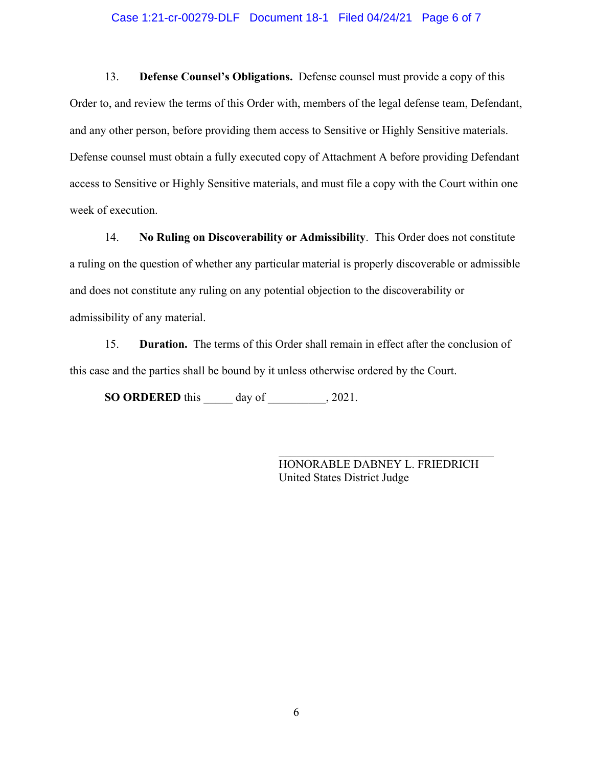#### Case 1:21-cr-00279-DLF Document 18-1 Filed 04/24/21 Page 6 of 7

13. **Defense Counsel's Obligations.** Defense counsel must provide a copy of this Order to, and review the terms of this Order with, members of the legal defense team, Defendant, and any other person, before providing them access to Sensitive or Highly Sensitive materials. Defense counsel must obtain a fully executed copy of Attachment A before providing Defendant access to Sensitive or Highly Sensitive materials, and must file a copy with the Court within one week of execution.

14. **No Ruling on Discoverability or Admissibility**. This Order does not constitute a ruling on the question of whether any particular material is properly discoverable or admissible and does not constitute any ruling on any potential objection to the discoverability or admissibility of any material.

15. **Duration.** The terms of this Order shall remain in effect after the conclusion of this case and the parties shall be bound by it unless otherwise ordered by the Court.

**SO ORDERED** this \_\_\_\_\_ day of \_\_\_\_\_\_\_\_\_\_, 2021.

HONORABLE DABNEY L. FRIEDRICH United States District Judge

\_\_\_\_\_\_\_\_\_\_\_\_\_\_\_\_\_\_\_\_\_\_\_\_\_\_\_\_\_\_\_\_\_\_\_\_\_